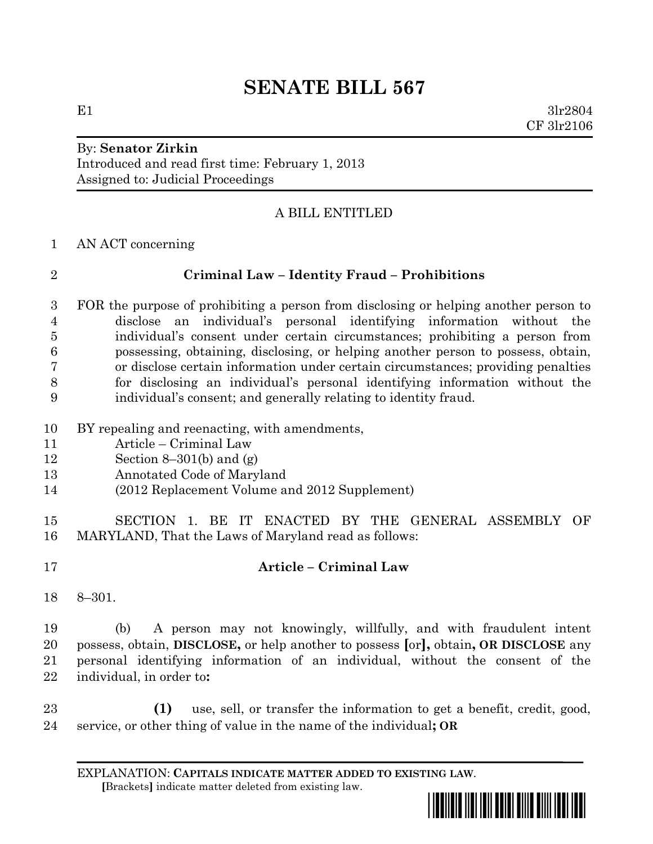## **SENATE BILL 567**

# By: **Senator Zirkin**

Introduced and read first time: February 1, 2013 Assigned to: Judicial Proceedings

## A BILL ENTITLED

AN ACT concerning

#### **Criminal Law – Identity Fraud – Prohibitions**

 FOR the purpose of prohibiting a person from disclosing or helping another person to disclose an individual's personal identifying information without the individual's consent under certain circumstances; prohibiting a person from possessing, obtaining, disclosing, or helping another person to possess, obtain, or disclose certain information under certain circumstances; providing penalties for disclosing an individual's personal identifying information without the individual's consent; and generally relating to identity fraud.

- BY repealing and reenacting, with amendments,
- Article Criminal Law
- Section 8–301(b) and (g)
- Annotated Code of Maryland
- (2012 Replacement Volume and 2012 Supplement)

 SECTION 1. BE IT ENACTED BY THE GENERAL ASSEMBLY OF MARYLAND, That the Laws of Maryland read as follows:

## **Article – Criminal Law**

8–301.

 (b) A person may not knowingly, willfully, and with fraudulent intent possess, obtain, **DISCLOSE,** or help another to possess **[**or**],** obtain**, OR DISCLOSE** any personal identifying information of an individual, without the consent of the individual, in order to**:**

 **(1)** use, sell, or transfer the information to get a benefit, credit, good, service, or other thing of value in the name of the individual**; OR**

EXPLANATION: **CAPITALS INDICATE MATTER ADDED TO EXISTING LAW**.  **[**Brackets**]** indicate matter deleted from existing law.